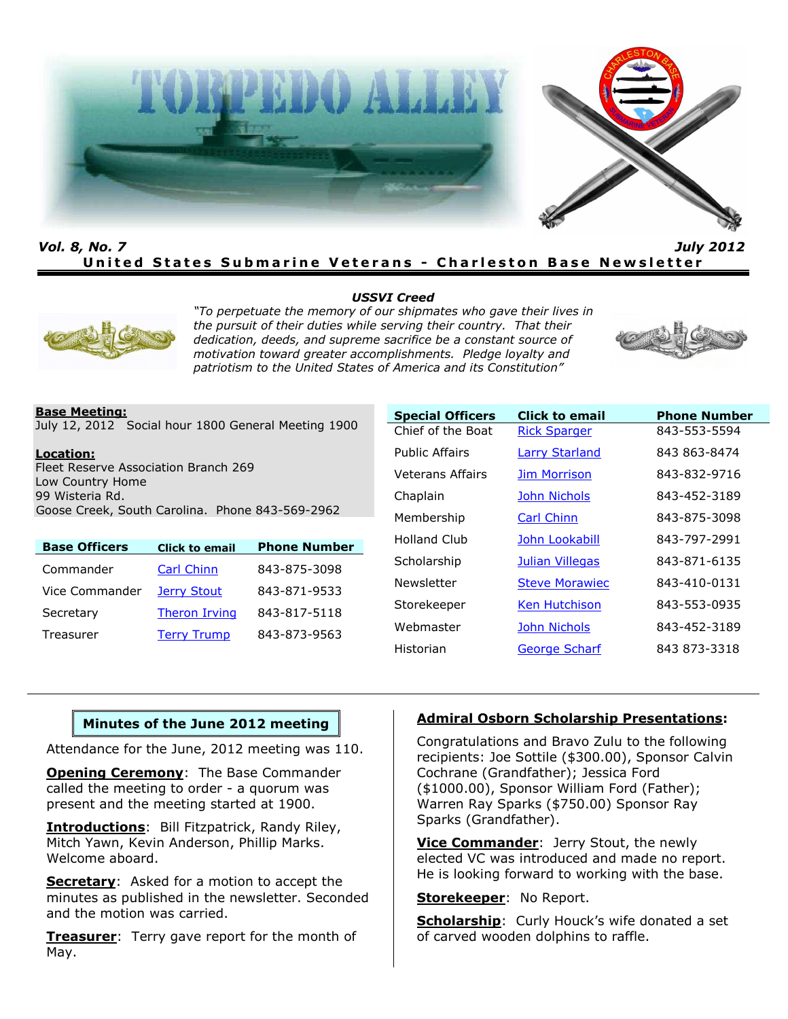

*Vol. 8, No. 7 July 2012* **United States Submarine Veterans - Charleston Base Newsletter** 

#### *USSVI Creed*



*"To perpetuate the memory of our shipmates who gave their lives in the pursuit of their duties while serving their country. That their dedication, deeds, and supreme sacrifice be a constant source of motivation toward greater accomplishments. Pledge loyalty and patriotism to the United States of America and its Constitution"*



### **Base Meeting:**

July 12, 2012 Social hour 1800 General Meeting 1900

#### **Location:**

Fleet Reserve Association Branch 269 Low Country Home 99 Wisteria Rd. Goose Creek, South Carolina. Phone 843-569-2962

| <b>Base Officers</b> | <b>Click to email</b> | <b>Phone Number</b> |
|----------------------|-----------------------|---------------------|
| Commander            | <b>Carl Chinn</b>     | 843-875-3098        |
| Vice Commander       | Jerry Stout           | 843-871-9533        |
| Secretary            | <b>Theron Irving</b>  | 843-817-5118        |
| Treasurer            | <b>Terry Trump</b>    | 843-873-9563        |

| <b>Special Officers</b> | <b>Click to email</b> | <b>Phone Number</b> |
|-------------------------|-----------------------|---------------------|
| Chief of the Boat       | <b>Rick Sparger</b>   | 843-553-5594        |
| Public Affairs          | <b>Larry Starland</b> | 843 863-8474        |
| Veterans Affairs        | <b>Jim Morrison</b>   | 843-832-9716        |
| Chaplain                | <b>John Nichols</b>   | 843-452-3189        |
| Membership              | <b>Carl Chinn</b>     | 843-875-3098        |
| Holland Club            | John Lookabill        | 843-797-2991        |
| Scholarship             | Julian Villegas       | 843-871-6135        |
| Newsletter              | <b>Steve Morawiec</b> | 843-410-0131        |
| Storekeeper             | <b>Ken Hutchison</b>  | 843-553-0935        |
| Webmaster               | <b>John Nichols</b>   | 843-452-3189        |
| Historian               | <b>George Scharf</b>  | 843 873-3318        |

### **Minutes of the June 2012 meeting**

Attendance for the June, 2012 meeting was 110.

**Opening Ceremony:** The Base Commander called the meeting to order - a quorum was present and the meeting started at 1900.

**Introductions**: Bill Fitzpatrick, Randy Riley, Mitch Yawn, Kevin Anderson, Phillip Marks. Welcome aboard.

**Secretary:** Asked for a motion to accept the minutes as published in the newsletter. Seconded and the motion was carried.

**Treasurer**: Terry gave report for the month of May.

### **Admiral Osborn Scholarship Presentations:**

Congratulations and Bravo Zulu to the following recipients: Joe Sottile (\$300.00), Sponsor Calvin Cochrane (Grandfather); Jessica Ford (\$1000.00), Sponsor William Ford (Father); Warren Ray Sparks (\$750.00) Sponsor Ray Sparks (Grandfather).

**Vice Commander**: Jerry Stout, the newly elected VC was introduced and made no report. He is looking forward to working with the base.

**Storekeeper**: No Report.

**Scholarship**: Curly Houck's wife donated a set of carved wooden dolphins to raffle.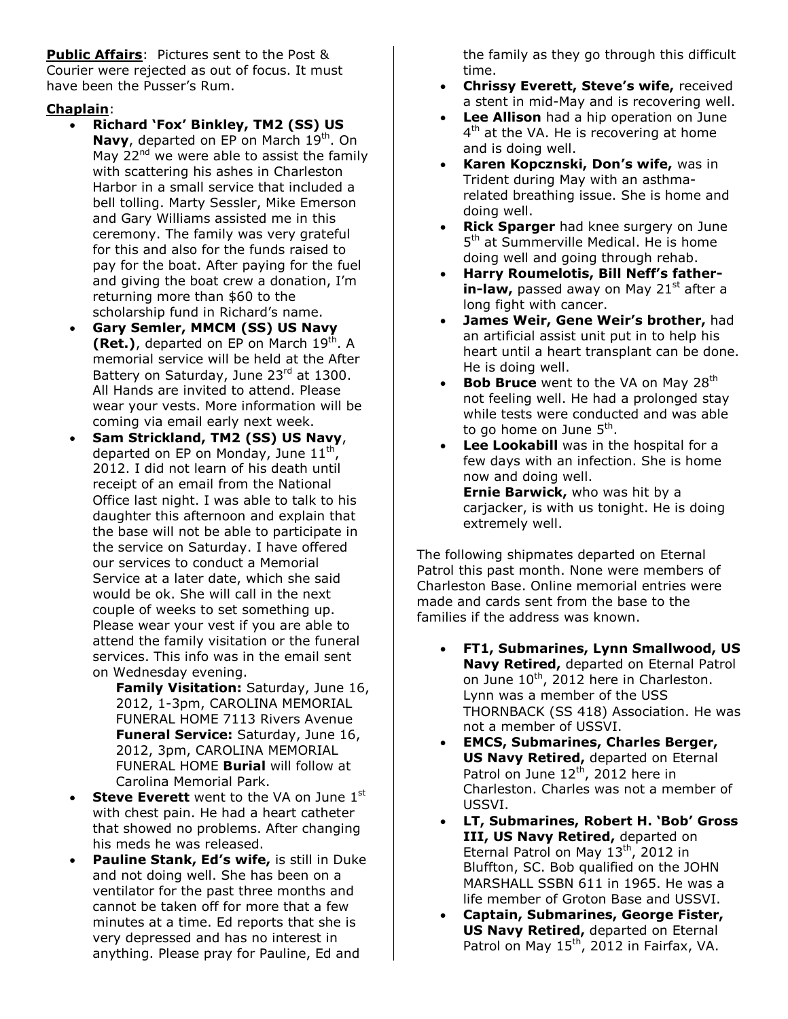**Public Affairs**: Pictures sent to the Post & Courier were rejected as out of focus. It must have been the Pusser's Rum.

## **Chaplain**:

- **Richard 'Fox' Binkley, TM2 (SS) US Navy**, departed on EP on March 19<sup>th</sup>. On May  $22<sup>nd</sup>$  we were able to assist the family with scattering his ashes in Charleston Harbor in a small service that included a bell tolling. Marty Sessler, Mike Emerson and Gary Williams assisted me in this ceremony. The family was very grateful for this and also for the funds raised to pay for the boat. After paying for the fuel and giving the boat crew a donation, I'm returning more than \$60 to the scholarship fund in Richard's name.
- **Gary Semler, MMCM (SS) US Navy (Ret.)**, departed on EP on March 19<sup>th</sup>. A memorial service will be held at the After Battery on Saturday, June 23rd at 1300. All Hands are invited to attend. Please wear your vests. More information will be coming via email early next week.
- **Sam Strickland, TM2 (SS) US Navy**, departed on EP on Monday, June  $11^{\text{th}}$ , 2012. I did not learn of his death until receipt of an email from the National Office last night. I was able to talk to his daughter this afternoon and explain that the base will not be able to participate in the service on Saturday. I have offered our services to conduct a Memorial Service at a later date, which she said would be ok. She will call in the next couple of weeks to set something up. Please wear your vest if you are able to attend the family visitation or the funeral services. This info was in the email sent on Wednesday evening.
	- **Family Visitation:** Saturday, June 16, 2012, 1-3pm, CAROLINA MEMORIAL FUNERAL HOME 7113 Rivers Avenue **Funeral Service:** Saturday, June 16, 2012, 3pm, CAROLINA MEMORIAL FUNERAL HOME **Burial** will follow at Carolina Memorial Park.
- **Steve Everett** went to the VA on June 1st with chest pain. He had a heart catheter that showed no problems. After changing his meds he was released.
- **Pauline Stank, Ed's wife,** is still in Duke and not doing well. She has been on a ventilator for the past three months and cannot be taken off for more that a few minutes at a time. Ed reports that she is very depressed and has no interest in anything. Please pray for Pauline, Ed and

the family as they go through this difficult time.

- **Chrissy Everett, Steve's wife,** received a stent in mid-May and is recovering well.
- **Lee Allison** had a hip operation on June 4<sup>th</sup> at the VA. He is recovering at home and is doing well.
- **Karen Kopcznski, Don's wife,** was in Trident during May with an asthmarelated breathing issue. She is home and doing well.
- **Rick Sparger** had knee surgery on June 5<sup>th</sup> at Summerville Medical. He is home doing well and going through rehab.
- **Harry Roumelotis, Bill Neff's fatherin-law,** passed away on May 21<sup>st</sup> after a long fight with cancer.
- **James Weir, Gene Weir's brother,** had an artificial assist unit put in to help his heart until a heart transplant can be done. He is doing well.
- **Bob Bruce** went to the VA on May 28<sup>th</sup> not feeling well. He had a prolonged stay while tests were conducted and was able to go home on June 5<sup>th</sup>.
- **Lee Lookabill** was in the hospital for a few days with an infection. She is home now and doing well. **Ernie Barwick,** who was hit by a carjacker, is with us tonight. He is doing extremely well.

The following shipmates departed on Eternal Patrol this past month. None were members of Charleston Base. Online memorial entries were made and cards sent from the base to the families if the address was known.

- **FT1, Submarines, Lynn Smallwood, US Navy Retired,** departed on Eternal Patrol on June 10<sup>th</sup>, 2012 here in Charleston. Lynn was a member of the USS THORNBACK (SS 418) Association. He was not a member of USSVI.
- **EMCS, Submarines, Charles Berger, US Navy Retired,** departed on Eternal Patrol on June  $12^{th}$ , 2012 here in Charleston. Charles was not a member of USSVI.
- **LT, Submarines, Robert H. 'Bob' Gross III, US Navy Retired, departed on** Eternal Patrol on May  $13^{th}$ , 2012 in Bluffton, SC. Bob qualified on the JOHN MARSHALL SSBN 611 in 1965. He was a life member of Groton Base and USSVI.
- **Captain, Submarines, George Fister, US Navy Retired,** departed on Eternal Patrol on May 15<sup>th</sup>, 2012 in Fairfax, VA.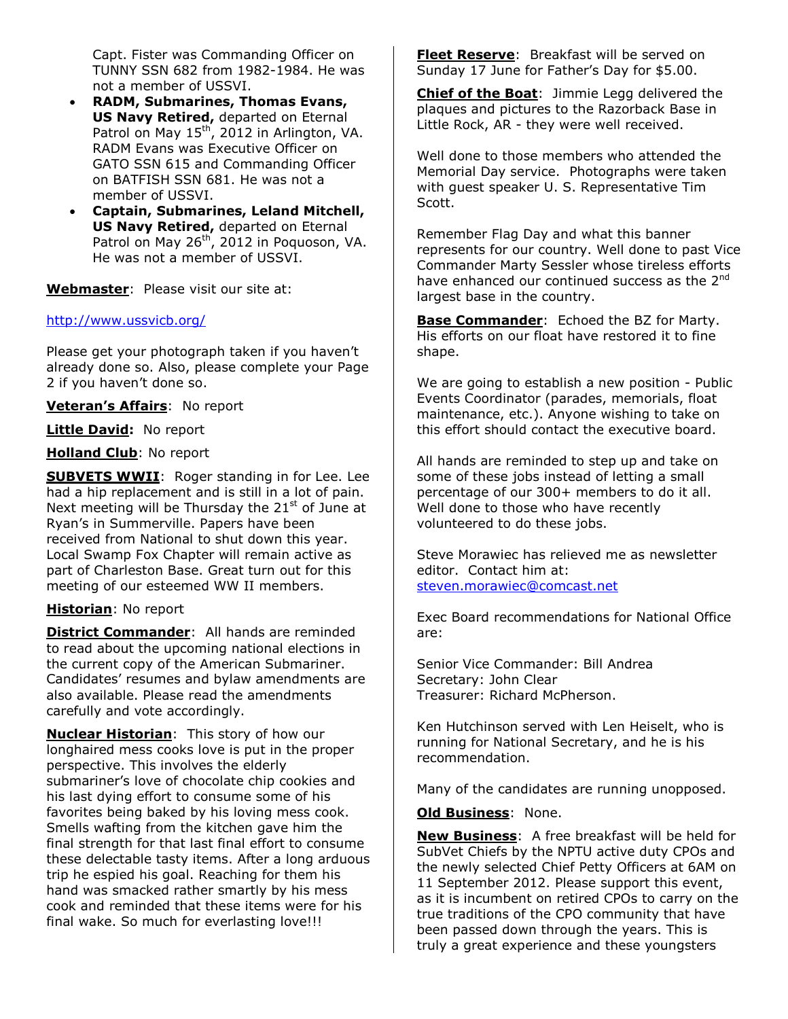Capt. Fister was Commanding Officer on TUNNY SSN 682 from 1982-1984. He was not a member of USSVI.

- **RADM, Submarines, Thomas Evans, US Navy Retired,** departed on Eternal Patrol on May 15<sup>th</sup>, 2012 in Arlington, VA. RADM Evans was Executive Officer on GATO SSN 615 and Commanding Officer on BATFISH SSN 681. He was not a member of USSVI.
- **Captain, Submarines, Leland Mitchell, US Navy Retired,** departed on Eternal Patrol on May 26<sup>th</sup>, 2012 in Poquoson, VA. He was not a member of USSVI.

**Webmaster**: Please visit our site at:

### <http://www.ussvicb.org/>

Please get your photograph taken if you haven't already done so. Also, please complete your Page 2 if you haven't done so.

**Veteran's Affairs**: No report

**Little David:** No report

### **Holland Club**: No report

**SUBVETS WWII**: Roger standing in for Lee. Lee had a hip replacement and is still in a lot of pain. Next meeting will be Thursday the  $21<sup>st</sup>$  of June at Ryan's in Summerville. Papers have been received from National to shut down this year. Local Swamp Fox Chapter will remain active as part of Charleston Base. Great turn out for this meeting of our esteemed WW II members.

### **Historian**: No report

**District Commander**: All hands are reminded to read about the upcoming national elections in the current copy of the American Submariner. Candidates' resumes and bylaw amendments are also available. Please read the amendments carefully and vote accordingly.

**Nuclear Historian**: This story of how our longhaired mess cooks love is put in the proper perspective. This involves the elderly submariner's love of chocolate chip cookies and his last dying effort to consume some of his favorites being baked by his loving mess cook. Smells wafting from the kitchen gave him the final strength for that last final effort to consume these delectable tasty items. After a long arduous trip he espied his goal. Reaching for them his hand was smacked rather smartly by his mess cook and reminded that these items were for his final wake. So much for everlasting love!!!

**Fleet Reserve**: Breakfast will be served on Sunday 17 June for Father's Day for \$5.00.

**Chief of the Boat**: Jimmie Legg delivered the plaques and pictures to the Razorback Base in Little Rock, AR - they were well received.

Well done to those members who attended the Memorial Day service. Photographs were taken with guest speaker U. S. Representative Tim Scott.

Remember Flag Day and what this banner represents for our country. Well done to past Vice Commander Marty Sessler whose tireless efforts have enhanced our continued success as the 2<sup>nd</sup> largest base in the country.

**Base Commander**: Echoed the BZ for Marty. His efforts on our float have restored it to fine shape.

We are going to establish a new position - Public Events Coordinator (parades, memorials, float maintenance, etc.). Anyone wishing to take on this effort should contact the executive board.

All hands are reminded to step up and take on some of these jobs instead of letting a small percentage of our 300+ members to do it all. Well done to those who have recently volunteered to do these jobs.

Steve Morawiec has relieved me as newsletter editor. Contact him at: [steven.morawiec@comcast.net](mailto:steven.morawiec@comcast.net)

Exec Board recommendations for National Office are:

Senior Vice Commander: Bill Andrea Secretary: John Clear Treasurer: Richard McPherson.

Ken Hutchinson served with Len Heiselt, who is running for National Secretary, and he is his recommendation.

Many of the candidates are running unopposed.

### **Old Business**: None.

**New Business**: A free breakfast will be held for SubVet Chiefs by the NPTU active duty CPOs and the newly selected Chief Petty Officers at 6AM on 11 September 2012. Please support this event, as it is incumbent on retired CPOs to carry on the true traditions of the CPO community that have been passed down through the years. This is truly a great experience and these youngsters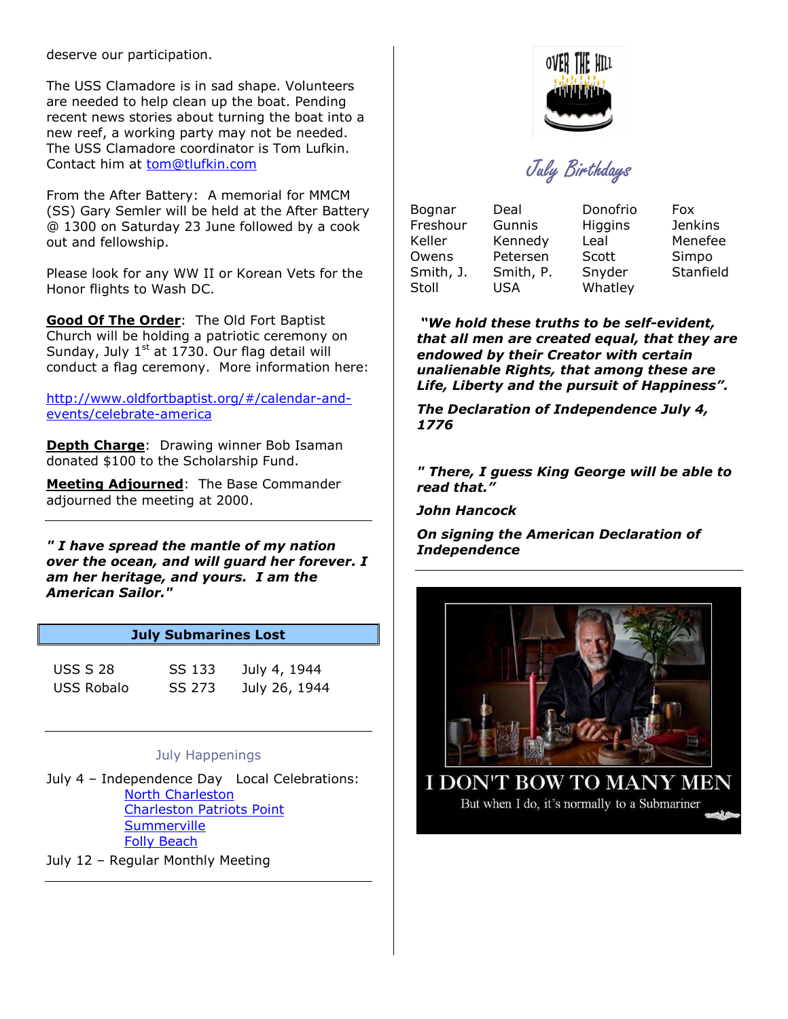deserve our participation.

The USS Clamadore is in sad shape. Volunteers are needed to help clean up the boat. Pending recent news stories about turning the boat into a new reef, a working party may not be needed. The USS Clamadore coordinator is Tom Lufkin. Contact him at tom@tlufkin.com

From the After Battery: A memorial for MMCM (SS) Gary Semler will be held at the After Battery @ 1300 on Saturday 23 June followed by a cook out and fellowship.

Please look for any WW II or Korean Vets for the Honor flights to Wash DC.

**Good Of The Order**: The Old Fort Baptist Church will be holding a patriotic ceremony on Sunday, July  $1<sup>st</sup>$  at 1730. Our flag detail will conduct a flag ceremony. More information here:

[http://www.oldfortbaptist.org/#/calendar-and](http://www.oldfortbaptist.org/#/calendar-and-events/celebrate-america)[events/celebrate-america](http://www.oldfortbaptist.org/#/calendar-and-events/celebrate-america)

**Depth Charge**: Drawing winner Bob Isaman donated \$100 to the Scholarship Fund.

**Meeting Adjourned**: The Base Commander adjourned the meeting at 2000.

*" I have spread the mantle of my nation over the ocean, and will guard her forever. I am her heritage, and yours. I am the American Sailor."* 

### **July Submarines Lost**

| <b>USS S 28</b> | SS 133 | July 4, 1944  |
|-----------------|--------|---------------|
| USS Robalo      | SS 273 | July 26, 1944 |

### July Happenings

July 4 – Independence Day Local Celebrations: [North Charleston](http://www.charlestonlowcountry.com/specialpages/4thofJulyNorthCharleston.html) [Charleston Patriots Point](http://www.charlestonlowcountry.com/specialpages/4thofJulyPatriotsPoint.html) **[Summerville](http://www.charlestonlowcountry.com/specialpages/4thofJulySummerville.html)** [Folly Beach](http://www.charlestonlowcountry.com/specialpages/4thofJulySummerville.html)

July 12 – Regular Monthly Meeting



July Birthdays

| Bognar    | Deal      | Donofrio | Fox            |
|-----------|-----------|----------|----------------|
| Freshour  | Gunnis    | Higgins  | <b>Jenkins</b> |
| Keller    | Kennedy   | Leal     | Menefee        |
| Owens     | Petersen  | Scott    | Simpo          |
| Smith, J. | Smith, P. | Snyder   | Stanfield      |
| Stoll     | USA       | Whatley  |                |

*"We hold these truths to be self-evident, that all men are created equal, that they are endowed by their Creator with certain unalienable Rights, that among these are Life, Liberty and the pursuit of Happiness".* 

*The Declaration of Independence July 4, 1776* 

*" There, I guess King George will be able to read that."* 

*John Hancock* 

*On signing the American Declaration of Independence* 



**I DON'T BOW TO MANY MEN** But when I do, it's normally to a Submariner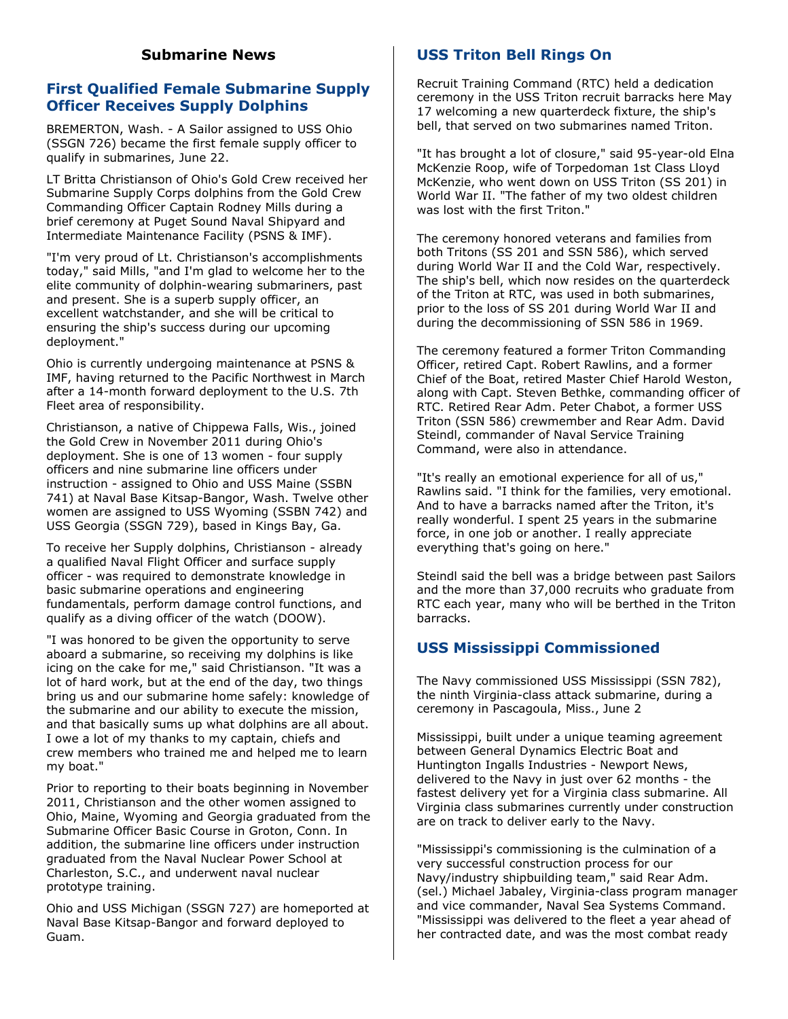## **Submarine News**

## **First Qualified Female Submarine Supply Officer Receives Supply Dolphins**

BREMERTON, Wash. - A Sailor assigned to USS Ohio (SSGN 726) became the first female supply officer to qualify in submarines, June 22.

LT Britta Christianson of Ohio's Gold Crew received her Submarine Supply Corps dolphins from the Gold Crew Commanding Officer Captain Rodney Mills during a brief ceremony at Puget Sound Naval Shipyard and Intermediate Maintenance Facility (PSNS & IMF).

"I'm very proud of Lt. Christianson's accomplishments today," said Mills, "and I'm glad to welcome her to the elite community of dolphin-wearing submariners, past and present. She is a superb supply officer, an excellent watchstander, and she will be critical to ensuring the ship's success during our upcoming deployment."

Ohio is currently undergoing maintenance at PSNS & IMF, having returned to the Pacific Northwest in March after a 14-month forward deployment to the U.S. 7th Fleet area of responsibility.

Christianson, a native of Chippewa Falls, Wis., joined the Gold Crew in November 2011 during Ohio's deployment. She is one of 13 women - four supply officers and nine submarine line officers under instruction - assigned to Ohio and USS Maine (SSBN 741) at Naval Base Kitsap-Bangor, Wash. Twelve other women are assigned to USS Wyoming (SSBN 742) and USS Georgia (SSGN 729), based in Kings Bay, Ga.

To receive her Supply dolphins, Christianson - already a qualified Naval Flight Officer and surface supply officer - was required to demonstrate knowledge in basic submarine operations and engineering fundamentals, perform damage control functions, and qualify as a diving officer of the watch (DOOW).

"I was honored to be given the opportunity to serve aboard a submarine, so receiving my dolphins is like icing on the cake for me," said Christianson. "It was a lot of hard work, but at the end of the day, two things bring us and our submarine home safely: knowledge of the submarine and our ability to execute the mission, and that basically sums up what dolphins are all about. I owe a lot of my thanks to my captain, chiefs and crew members who trained me and helped me to learn my boat."

Prior to reporting to their boats beginning in November 2011, Christianson and the other women assigned to Ohio, Maine, Wyoming and Georgia graduated from the Submarine Officer Basic Course in Groton, Conn. In addition, the submarine line officers under instruction graduated from the Naval Nuclear Power School at Charleston, S.C., and underwent naval nuclear prototype training.

Ohio and USS Michigan (SSGN 727) are homeported at Naval Base Kitsap-Bangor and forward deployed to Guam.

# **USS Triton Bell Rings On**

Recruit Training Command (RTC) held a dedication ceremony in the USS Triton recruit barracks here May 17 welcoming a new quarterdeck fixture, the ship's bell, that served on two submarines named Triton.

"It has brought a lot of closure," said 95-year-old Elna McKenzie Roop, wife of Torpedoman 1st Class Lloyd McKenzie, who went down on USS Triton (SS 201) in World War II. "The father of my two oldest children was lost with the first Triton."

The ceremony honored veterans and families from both Tritons (SS 201 and SSN 586), which served during World War II and the Cold War, respectively. The ship's bell, which now resides on the quarterdeck of the Triton at RTC, was used in both submarines, prior to the loss of SS 201 during World War II and during the decommissioning of SSN 586 in 1969.

The ceremony featured a former Triton Commanding Officer, retired Capt. Robert Rawlins, and a former Chief of the Boat, retired Master Chief Harold Weston, along with Capt. Steven Bethke, commanding officer of RTC. Retired Rear Adm. Peter Chabot, a former USS Triton (SSN 586) crewmember and Rear Adm. David Steindl, commander of Naval Service Training Command, were also in attendance.

"It's really an emotional experience for all of us," Rawlins said. "I think for the families, very emotional. And to have a barracks named after the Triton, it's really wonderful. I spent 25 years in the submarine force, in one job or another. I really appreciate everything that's going on here."

Steindl said the bell was a bridge between past Sailors and the more than 37,000 recruits who graduate from RTC each year, many who will be berthed in the Triton barracks.

# **USS Mississippi Commissioned**

The Navy commissioned USS Mississippi (SSN 782), the ninth Virginia-class attack submarine, during a ceremony in Pascagoula, Miss., June 2

Mississippi, built under a unique teaming agreement between General Dynamics Electric Boat and Huntington Ingalls Industries - Newport News, delivered to the Navy in just over 62 months - the fastest delivery yet for a Virginia class submarine. All Virginia class submarines currently under construction are on track to deliver early to the Navy.

"Mississippi's commissioning is the culmination of a very successful construction process for our Navy/industry shipbuilding team," said Rear Adm. (sel.) Michael Jabaley, Virginia-class program manager and vice commander, Naval Sea Systems Command. "Mississippi was delivered to the fleet a year ahead of her contracted date, and was the most combat ready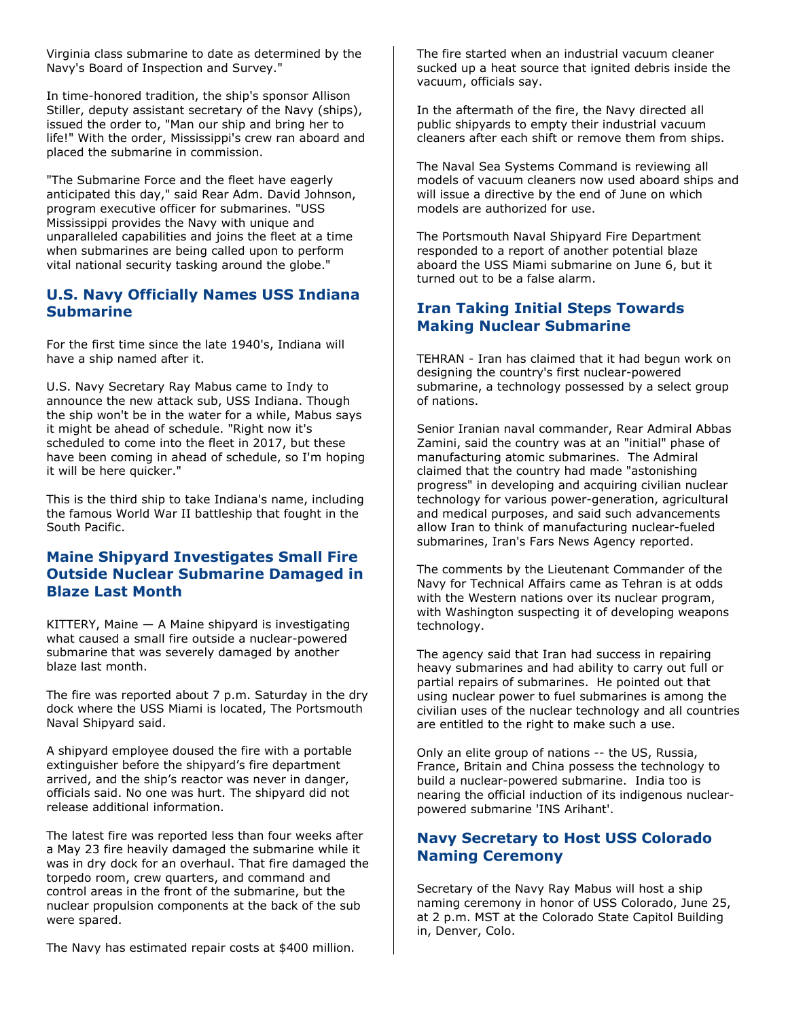Virginia class submarine to date as determined by the Navy's Board of Inspection and Survey."

In time-honored tradition, the ship's sponsor Allison Stiller, deputy assistant secretary of the Navy (ships), issued the order to, "Man our ship and bring her to life!" With the order, Mississippi's crew ran aboard and placed the submarine in commission.

"The Submarine Force and the fleet have eagerly anticipated this day," said Rear Adm. David Johnson, program executive officer for submarines. "USS Mississippi provides the Navy with unique and unparalleled capabilities and joins the fleet at a time when submarines are being called upon to perform vital national security tasking around the globe."

## **U.S. Navy Officially Names USS Indiana Submarine**

For the first time since the late 1940's, Indiana will have a ship named after it.

U.S. Navy Secretary Ray Mabus came to Indy to announce the new attack sub, USS Indiana. Though the ship won't be in the water for a while, Mabus says it might be ahead of schedule. "Right now it's scheduled to come into the fleet in 2017, but these have been coming in ahead of schedule, so I'm hoping it will be here quicker."

This is the third ship to take Indiana's name, including the famous World War II battleship that fought in the South Pacific.

## **Maine Shipyard Investigates Small Fire Outside Nuclear Submarine Damaged in Blaze Last Month**

KITTERY, Maine — A Maine shipyard is investigating what caused a small fire outside a nuclear-powered submarine that was severely damaged by another blaze last month.

The fire was reported about 7 p.m. Saturday in the dry dock where the USS Miami is located, The Portsmouth Naval Shipyard said.

A shipyard employee doused the fire with a portable extinguisher before the shipyard's fire department arrived, and the ship's reactor was never in danger, officials said. No one was hurt. The shipyard did not release additional information.

The latest fire was reported less than four weeks after a May 23 fire heavily damaged the submarine while it was in dry dock for an overhaul. That fire damaged the torpedo room, crew quarters, and command and control areas in the front of the submarine, but the nuclear propulsion components at the back of the sub were spared.

The Navy has estimated repair costs at \$400 million.

The fire started when an industrial vacuum cleaner sucked up a heat source that ignited debris inside the vacuum, officials say.

In the aftermath of the fire, the Navy directed all public shipyards to empty their industrial vacuum cleaners after each shift or remove them from ships.

The Naval Sea Systems Command is reviewing all models of vacuum cleaners now used aboard ships and will issue a directive by the end of June on which models are authorized for use.

The Portsmouth Naval Shipyard Fire Department responded to a report of another potential blaze aboard the USS Miami submarine on June 6, but it turned out to be a false alarm.

## **Iran Taking Initial Steps Towards Making Nuclear Submarine**

TEHRAN - Iran has claimed that it had begun work on designing the country's first nuclear-powered submarine, a technology possessed by a select group of nations.

Senior Iranian naval commander, Rear Admiral Abbas Zamini, said the country was at an "initial" phase of manufacturing atomic submarines. The Admiral claimed that the country had made "astonishing progress" in developing and acquiring civilian nuclear technology for various power-generation, agricultural and medical purposes, and said such advancements allow Iran to think of manufacturing nuclear-fueled submarines, Iran's Fars News Agency reported.

The comments by the Lieutenant Commander of the Navy for Technical Affairs came as Tehran is at odds with the Western nations over its nuclear program, with Washington suspecting it of developing weapons technology.

The agency said that Iran had success in repairing heavy submarines and had ability to carry out full or partial repairs of submarines. He pointed out that using nuclear power to fuel submarines is among the civilian uses of the nuclear technology and all countries are entitled to the right to make such a use.

Only an elite group of nations -- the US, Russia, France, Britain and China possess the technology to build a nuclear-powered submarine. India too is nearing the official induction of its indigenous nuclearpowered submarine 'INS Arihant'.

# **Navy Secretary to Host USS Colorado Naming Ceremony**

Secretary of the Navy Ray Mabus will host a ship naming ceremony in honor of USS Colorado, June 25, at 2 p.m. MST at the Colorado State Capitol Building in, Denver, Colo.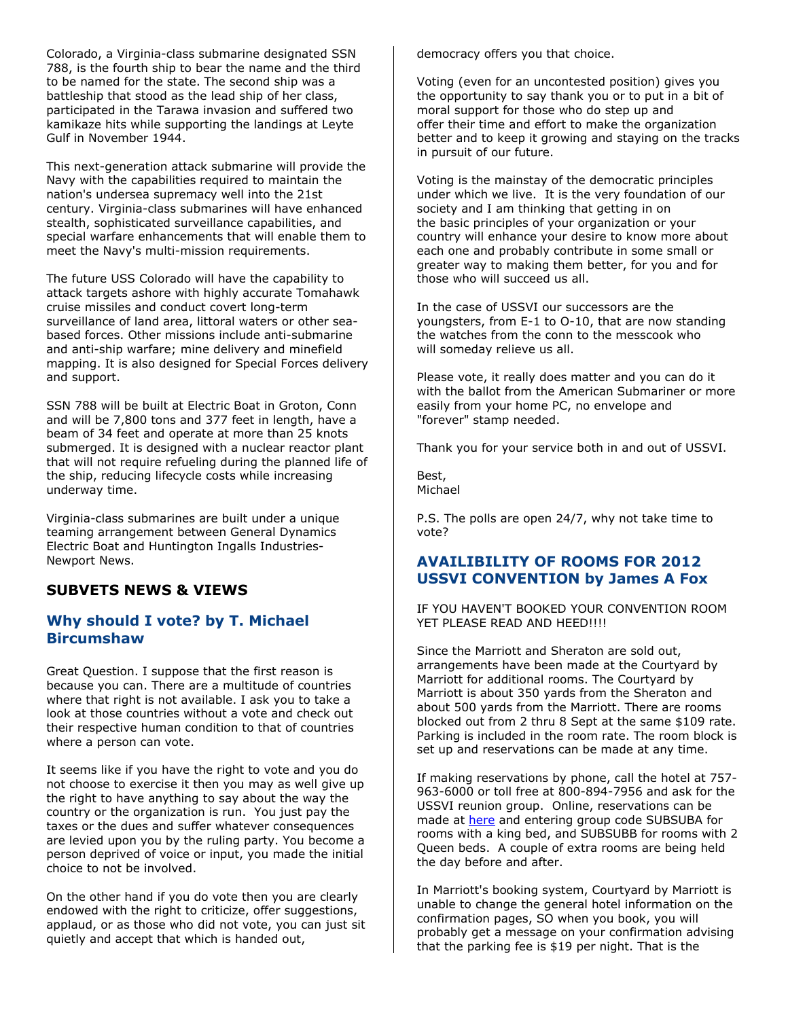Colorado, a Virginia-class submarine designated SSN 788, is the fourth ship to bear the name and the third to be named for the state. The second ship was a battleship that stood as the lead ship of her class, participated in the Tarawa invasion and suffered two kamikaze hits while supporting the landings at Leyte Gulf in November 1944.

This next-generation attack submarine will provide the Navy with the capabilities required to maintain the nation's undersea supremacy well into the 21st century. Virginia-class submarines will have enhanced stealth, sophisticated surveillance capabilities, and special warfare enhancements that will enable them to meet the Navy's multi-mission requirements.

The future USS Colorado will have the capability to attack targets ashore with highly accurate Tomahawk cruise missiles and conduct covert long-term surveillance of land area, littoral waters or other seabased forces. Other missions include anti-submarine and anti-ship warfare; mine delivery and minefield mapping. It is also designed for Special Forces delivery and support.

SSN 788 will be built at Electric Boat in Groton, Conn and will be 7,800 tons and 377 feet in length, have a beam of 34 feet and operate at more than 25 knots submerged. It is designed with a nuclear reactor plant that will not require refueling during the planned life of the ship, reducing lifecycle costs while increasing underway time.

Virginia-class submarines are built under a unique teaming arrangement between General Dynamics Electric Boat and Huntington Ingalls Industries-Newport News.

## **SUBVETS NEWS & VIEWS**

### **Why should I vote? by T. Michael Bircumshaw**

Great Question. I suppose that the first reason is because you can. There are a multitude of countries where that right is not available. I ask you to take a look at those countries without a vote and check out their respective human condition to that of countries where a person can vote.

It seems like if you have the right to vote and you do not choose to exercise it then you may as well give up the right to have anything to say about the way the country or the organization is run. You just pay the taxes or the dues and suffer whatever consequences are levied upon you by the ruling party. You become a person deprived of voice or input, you made the initial choice to not be involved.

On the other hand if you do vote then you are clearly endowed with the right to criticize, offer suggestions, applaud, or as those who did not vote, you can just sit quietly and accept that which is handed out,

democracy offers you that choice.

Voting (even for an uncontested position) gives you the opportunity to say thank you or to put in a bit of moral support for those who do step up and offer their time and effort to make the organization better and to keep it growing and staying on the tracks in pursuit of our future.

Voting is the mainstay of the democratic principles under which we live. It is the very foundation of our society and I am thinking that getting in on the basic principles of your organization or your country will enhance your desire to know more about each one and probably contribute in some small or greater way to making them better, for you and for those who will succeed us all.

In the case of USSVI our successors are the youngsters, from E-1 to O-10, that are now standing the watches from the conn to the messcook who will someday relieve us all.

Please vote, it really does matter and you can do it with the ballot from the American Submariner or more easily from your home PC, no envelope and "forever" stamp needed.

Thank you for your service both in and out of USSVI.

Best, Michael

P.S. The polls are open 24/7, why not take time to vote?

## **AVAILIBILITY OF ROOMS FOR 2012 USSVI CONVENTION by James A Fox**

IF YOU HAVEN'T BOOKED YOUR CONVENTION ROOM YET PLEASE READ AND HEED!!!!

Since the Marriott and Sheraton are sold out, arrangements have been made at the Courtyard by Marriott for additional rooms. The Courtyard by Marriott is about 350 yards from the Sheraton and about 500 yards from the Marriott. There are rooms blocked out from 2 thru 8 Sept at the same \$109 rate. Parking is included in the room rate. The room block is set up and reservations can be made at any time.

If making reservations by phone, call the hotel at 757- 963-6000 or toll free at 800-894-7956 and ask for the USSVI reunion group. Online, reservations can be made at [here](http://www.marriott.com/hotels/travel/orfdt-courtyard-norfolk-downtown/) and entering group code SUBSUBA for rooms with a king bed, and SUBSUBB for rooms with 2 Queen beds. A couple of extra rooms are being held the day before and after.

In Marriott's booking system, Courtyard by Marriott is unable to change the general hotel information on the confirmation pages, SO when you book, you will probably get a message on your confirmation advising that the parking fee is \$19 per night. That is the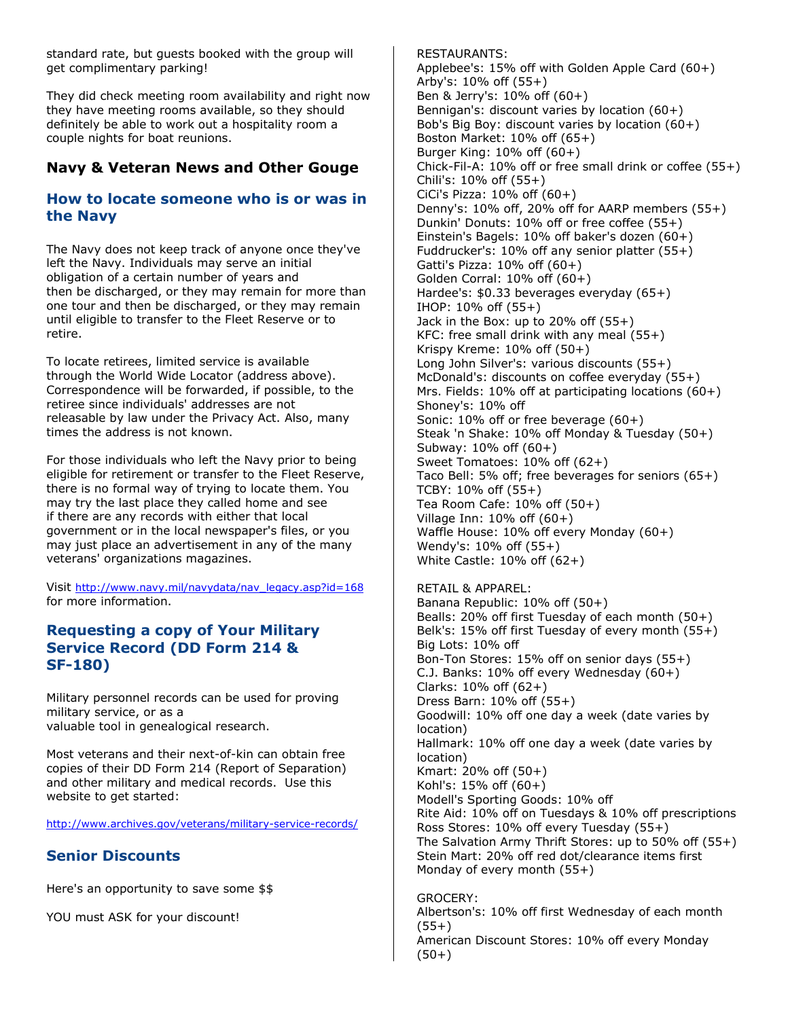standard rate, but guests booked with the group will get complimentary parking!

They did check meeting room availability and right now they have meeting rooms available, so they should definitely be able to work out a hospitality room a couple nights for boat reunions.

# **Navy & Veteran News and Other Gouge**

## **How to locate someone who is or was in the Navy**

The Navy does not keep track of anyone once they've left the Navy. Individuals may serve an initial obligation of a certain number of years and then be discharged, or they may remain for more than one tour and then be discharged, or they may remain until eligible to transfer to the Fleet Reserve or to retire.

To locate retirees, limited service is available through the World Wide Locator (address above). Correspondence will be forwarded, if possible, to the retiree since individuals' addresses are not releasable by law under the Privacy Act. Also, many times the address is not known.

For those individuals who left the Navy prior to being eligible for retirement or transfer to the Fleet Reserve, there is no formal way of trying to locate them. You may try the last place they called home and see if there are any records with either that local government or in the local newspaper's files, or you may just place an advertisement in any of the many veterans' organizations magazines.

Visit [http://www.navy.mil/navydata/nav\\_legacy.asp?id=168](http://www.navy.mil/navydata/nav_legacy.asp?id=168) for more information.

# **Requesting a copy of Your Military Service Record (DD Form 214 & SF-180)**

Military personnel records can be used for proving military service, or as a valuable tool in genealogical research.

Most veterans and their next-of-kin can obtain free copies of their DD Form 214 (Report of Separation) and other military and medical records. Use this website to get started:

<http://www.archives.gov/veterans/military-service-records/>

# **Senior Discounts**

Here's an opportunity to save some \$\$

YOU must ASK for your discount!

RESTAURANTS: Applebee's: 15% off with Golden Apple Card (60+) Arby's: 10% off (55+) Ben & Jerry's: 10% off (60+) Bennigan's: discount varies by location (60+) Bob's Big Boy: discount varies by location (60+) Boston Market: 10% off (65+) Burger King: 10% off (60+) Chick-Fil-A: 10% off or free small drink or coffee (55+) Chili's: 10% off (55+) CiCi's Pizza: 10% off (60+) Denny's: 10% off, 20% off for AARP members (55+) Dunkin' Donuts: 10% off or free coffee (55+) Einstein's Bagels: 10% off baker's dozen (60+) Fuddrucker's: 10% off any senior platter (55+) Gatti's Pizza: 10% off (60+) Golden Corral: 10% off (60+) Hardee's: \$0.33 beverages everyday (65+) IHOP: 10% off (55+) Jack in the Box: up to  $20\%$  off  $(55+)$ KFC: free small drink with any meal (55+) Krispy Kreme: 10% off (50+) Long John Silver's: various discounts (55+) McDonald's: discounts on coffee everyday (55+) Mrs. Fields: 10% off at participating locations (60+) Shoney's: 10% off Sonic: 10% off or free beverage (60+) Steak 'n Shake: 10% off Monday & Tuesday (50+) Subway: 10% off (60+) Sweet Tomatoes: 10% off (62+) Taco Bell: 5% off; free beverages for seniors (65+) TCBY: 10% off (55+) Tea Room Cafe: 10% off (50+) Village Inn:  $10\%$  off  $(60+)$ Waffle House: 10% off every Monday (60+) Wendy's: 10% off (55+) White Castle: 10% off (62+)

RETAIL & APPAREL: Banana Republic: 10% off (50+) Bealls: 20% off first Tuesday of each month (50+) Belk's: 15% off first Tuesday of every month (55+) Big Lots: 10% off Bon-Ton Stores: 15% off on senior days (55+) C.J. Banks: 10% off every Wednesday (60+) Clarks: 10% off (62+) Dress Barn: 10% off (55+) Goodwill: 10% off one day a week (date varies by location) Hallmark: 10% off one day a week (date varies by location) Kmart: 20% off (50+) Kohl's: 15% off (60+) Modell's Sporting Goods: 10% off Rite Aid: 10% off on Tuesdays & 10% off prescriptions Ross Stores: 10% off every Tuesday (55+) The Salvation Army Thrift Stores: up to 50% off (55+) Stein Mart: 20% off red dot/clearance items first Monday of every month (55+)

GROCERY: Albertson's: 10% off first Wednesday of each month (55+) American Discount Stores: 10% off every Monday  $(50+)$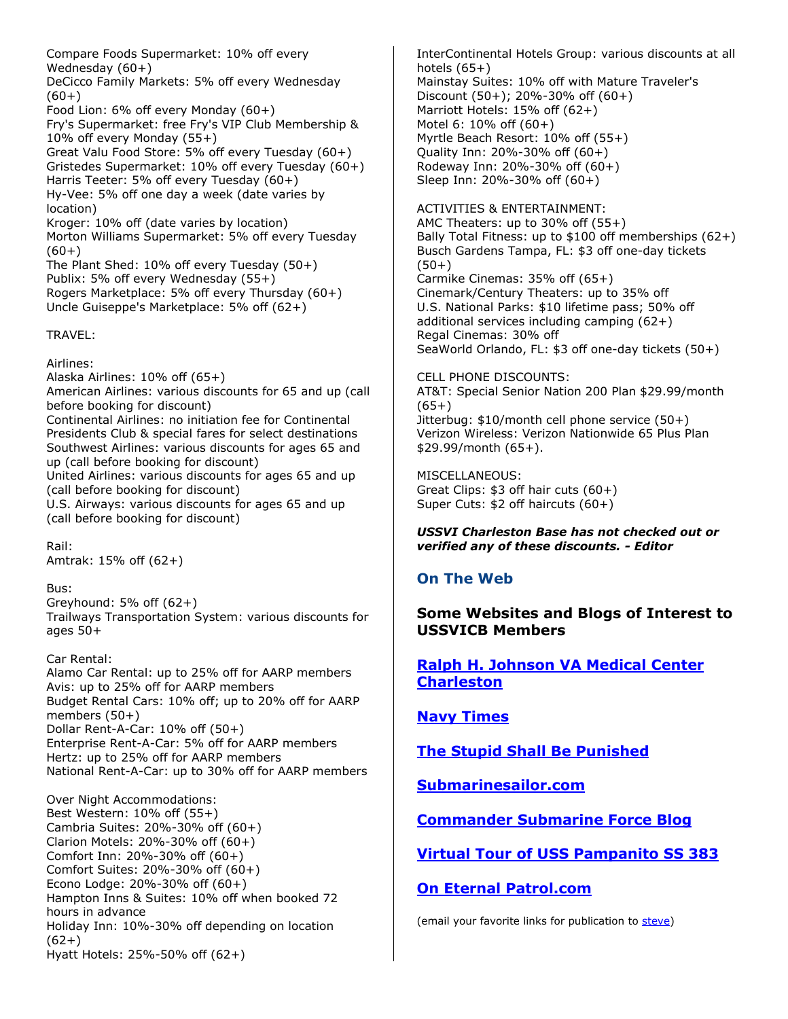Compare Foods Supermarket: 10% off every Wednesday (60+) DeCicco Family Markets: 5% off every Wednesday  $(60+)$ Food Lion: 6% off every Monday (60+) Fry's Supermarket: free Fry's VIP Club Membership & 10% off every Monday (55+) Great Valu Food Store: 5% off every Tuesday (60+) Gristedes Supermarket: 10% off every Tuesday (60+) Harris Teeter: 5% off every Tuesday (60+) Hy-Vee: 5% off one day a week (date varies by location) Kroger: 10% off (date varies by location) Morton Williams Supermarket: 5% off every Tuesday  $(60+)$ The Plant Shed: 10% off every Tuesday (50+) Publix: 5% off every Wednesday (55+) Rogers Marketplace: 5% off every Thursday (60+) Uncle Guiseppe's Marketplace: 5% off (62+)

TRAVEL:

Airlines: Alaska Airlines: 10% off (65+) American Airlines: various discounts for 65 and up (call before booking for discount) Continental Airlines: no initiation fee for Continental Presidents Club & special fares for select destinations Southwest Airlines: various discounts for ages 65 and up (call before booking for discount) United Airlines: various discounts for ages 65 and up (call before booking for discount) U.S. Airways: various discounts for ages 65 and up (call before booking for discount)

Rail: Amtrak: 15% off (62+)

Bus:

Greyhound: 5% off (62+) Trailways Transportation System: various discounts for ages 50+

Car Rental: Alamo Car Rental: up to 25% off for AARP members Avis: up to 25% off for AARP members Budget Rental Cars: 10% off; up to 20% off for AARP members (50+) Dollar Rent-A-Car: 10% off (50+) Enterprise Rent-A-Car: 5% off for AARP members Hertz: up to 25% off for AARP members National Rent-A-Car: up to 30% off for AARP members

Over Night Accommodations: Best Western: 10% off (55+) Cambria Suites: 20%-30% off (60+) Clarion Motels: 20%-30% off (60+) Comfort Inn: 20%-30% off (60+) Comfort Suites: 20%-30% off (60+) Econo Lodge: 20%-30% off (60+) Hampton Inns & Suites: 10% off when booked 72 hours in advance Holiday Inn: 10%-30% off depending on location (62+) Hyatt Hotels: 25%-50% off (62+)

InterContinental Hotels Group: various discounts at all hotels  $(65+)$ Mainstay Suites: 10% off with Mature Traveler's

Discount (50+); 20%-30% off (60+) Marriott Hotels: 15% off (62+) Motel 6: 10% off (60+) Myrtle Beach Resort: 10% off (55+) Quality Inn: 20%-30% off (60+) Rodeway Inn: 20%-30% off (60+) Sleep Inn: 20%-30% off (60+)

ACTIVITIES & ENTERTAINMENT: AMC Theaters: up to 30% off (55+) Bally Total Fitness: up to \$100 off memberships (62+) Busch Gardens Tampa, FL: \$3 off one-day tickets (50+) Carmike Cinemas: 35% off (65+) Cinemark/Century Theaters: up to 35% off U.S. National Parks: \$10 lifetime pass; 50% off additional services including camping (62+) Regal Cinemas: 30% off SeaWorld Orlando, FL: \$3 off one-day tickets (50+)

CELL PHONE DISCOUNTS: AT&T: Special Senior Nation 200 Plan \$29.99/month (65+) Jitterbug: \$10/month cell phone service (50+) Verizon Wireless: Verizon Nationwide 65 Plus Plan \$29.99/month (65+).

MISCELLANEOUS: Great Clips: \$3 off hair cuts (60+) Super Cuts: \$2 off haircuts (60+)

*USSVI Charleston Base has not checked out or verified any of these discounts. - Editor*

# **On The Web**

**Some Websites and Blogs of Interest to USSVICB Members** 

**[Ralph H. Johnson VA Medical Center](http://www.charleston.va.gov/) [Charleston](http://www.charleston.va.gov/)**

**[Navy Times](http://www.navytimes.com/)**

**[The Stupid Shall Be Punished](http://bubbleheads.blogspot.com/)**

**[Submarinesailor.com](http://www.submarinesailor.com/)**

**[Commander Submarine Force Blog](http://comsubfor-usn.blogspot.com/)**

**[Virtual Tour of USS Pampanito SS 383](http://www.maritime.org/tour/index.php)**

**[On Eternal Patrol.com](http://www.oneternalpatrol.com/)**

(email your favorite links for publication to [steve\)](mailto:steven.morawiec@comcast.net)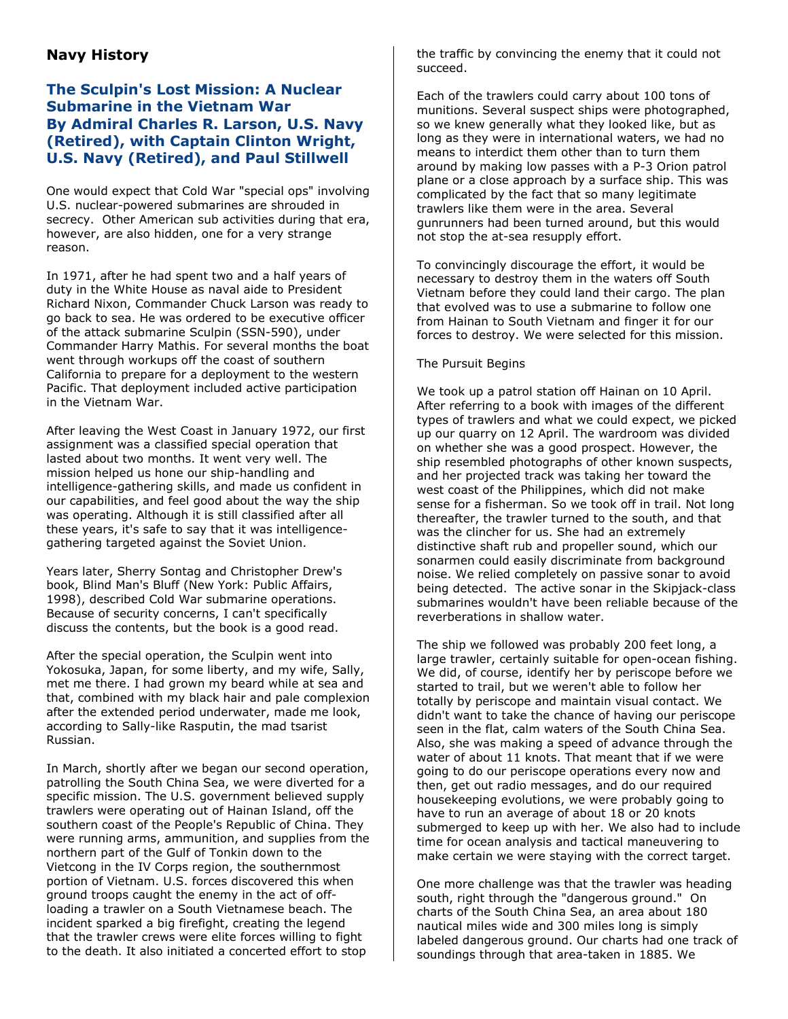# **Navy History**

## **The Sculpin's Lost Mission: A Nuclear Submarine in the Vietnam War By Admiral Charles R. Larson, U.S. Navy (Retired), with Captain Clinton Wright, U.S. Navy (Retired), and Paul Stillwell**

One would expect that Cold War "special ops" involving U.S. nuclear-powered submarines are shrouded in secrecy. Other American sub activities during that era, however, are also hidden, one for a very strange reason.

In 1971, after he had spent two and a half years of duty in the White House as naval aide to President Richard Nixon, Commander Chuck Larson was ready to go back to sea. He was ordered to be executive officer of the attack submarine Sculpin (SSN-590), under Commander Harry Mathis. For several months the boat went through workups off the coast of southern California to prepare for a deployment to the western Pacific. That deployment included active participation in the Vietnam War.

After leaving the West Coast in January 1972, our first assignment was a classified special operation that lasted about two months. It went very well. The mission helped us hone our ship-handling and intelligence-gathering skills, and made us confident in our capabilities, and feel good about the way the ship was operating. Although it is still classified after all these years, it's safe to say that it was intelligencegathering targeted against the Soviet Union.

Years later, Sherry Sontag and Christopher Drew's book, Blind Man's Bluff (New York: Public Affairs, 1998), described Cold War submarine operations. Because of security concerns, I can't specifically discuss the contents, but the book is a good read.

After the special operation, the Sculpin went into Yokosuka, Japan, for some liberty, and my wife, Sally, met me there. I had grown my beard while at sea and that, combined with my black hair and pale complexion after the extended period underwater, made me look, according to Sally-like Rasputin, the mad tsarist Russian.

In March, shortly after we began our second operation, patrolling the South China Sea, we were diverted for a specific mission. The U.S. government believed supply trawlers were operating out of Hainan Island, off the southern coast of the People's Republic of China. They were running arms, ammunition, and supplies from the northern part of the Gulf of Tonkin down to the Vietcong in the IV Corps region, the southernmost portion of Vietnam. U.S. forces discovered this when ground troops caught the enemy in the act of offloading a trawler on a South Vietnamese beach. The incident sparked a big firefight, creating the legend that the trawler crews were elite forces willing to fight to the death. It also initiated a concerted effort to stop

the traffic by convincing the enemy that it could not succeed.

Each of the trawlers could carry about 100 tons of munitions. Several suspect ships were photographed, so we knew generally what they looked like, but as long as they were in international waters, we had no means to interdict them other than to turn them around by making low passes with a P-3 Orion patrol plane or a close approach by a surface ship. This was complicated by the fact that so many legitimate trawlers like them were in the area. Several gunrunners had been turned around, but this would not stop the at-sea resupply effort.

To convincingly discourage the effort, it would be necessary to destroy them in the waters off South Vietnam before they could land their cargo. The plan that evolved was to use a submarine to follow one from Hainan to South Vietnam and finger it for our forces to destroy. We were selected for this mission.

### The Pursuit Begins

We took up a patrol station off Hainan on 10 April. After referring to a book with images of the different types of trawlers and what we could expect, we picked up our quarry on 12 April. The wardroom was divided on whether she was a good prospect. However, the ship resembled photographs of other known suspects, and her projected track was taking her toward the west coast of the Philippines, which did not make sense for a fisherman. So we took off in trail. Not long thereafter, the trawler turned to the south, and that was the clincher for us. She had an extremely distinctive shaft rub and propeller sound, which our sonarmen could easily discriminate from background noise. We relied completely on passive sonar to avoid being detected. The active sonar in the Skipjack-class submarines wouldn't have been reliable because of the reverberations in shallow water.

The ship we followed was probably 200 feet long, a large trawler, certainly suitable for open-ocean fishing. We did, of course, identify her by periscope before we started to trail, but we weren't able to follow her totally by periscope and maintain visual contact. We didn't want to take the chance of having our periscope seen in the flat, calm waters of the South China Sea. Also, she was making a speed of advance through the water of about 11 knots. That meant that if we were going to do our periscope operations every now and then, get out radio messages, and do our required housekeeping evolutions, we were probably going to have to run an average of about 18 or 20 knots submerged to keep up with her. We also had to include time for ocean analysis and tactical maneuvering to make certain we were staying with the correct target.

One more challenge was that the trawler was heading south, right through the "dangerous ground." On charts of the South China Sea, an area about 180 nautical miles wide and 300 miles long is simply labeled dangerous ground. Our charts had one track of soundings through that area-taken in 1885. We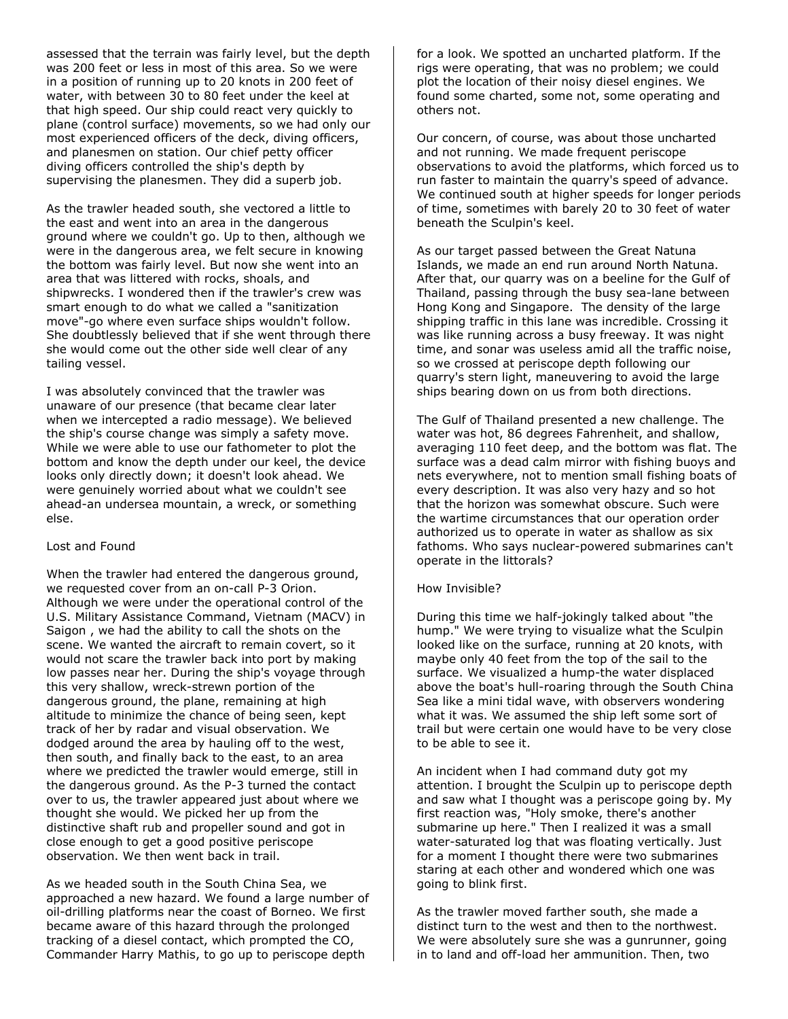assessed that the terrain was fairly level, but the depth was 200 feet or less in most of this area. So we were in a position of running up to 20 knots in 200 feet of water, with between 30 to 80 feet under the keel at that high speed. Our ship could react very quickly to plane (control surface) movements, so we had only our most experienced officers of the deck, diving officers, and planesmen on station. Our chief petty officer diving officers controlled the ship's depth by supervising the planesmen. They did a superb job.

As the trawler headed south, she vectored a little to the east and went into an area in the dangerous ground where we couldn't go. Up to then, although we were in the dangerous area, we felt secure in knowing the bottom was fairly level. But now she went into an area that was littered with rocks, shoals, and shipwrecks. I wondered then if the trawler's crew was smart enough to do what we called a "sanitization move"-go where even surface ships wouldn't follow. She doubtlessly believed that if she went through there she would come out the other side well clear of any tailing vessel.

I was absolutely convinced that the trawler was unaware of our presence (that became clear later when we intercepted a radio message). We believed the ship's course change was simply a safety move. While we were able to use our fathometer to plot the bottom and know the depth under our keel, the device looks only directly down; it doesn't look ahead. We were genuinely worried about what we couldn't see ahead-an undersea mountain, a wreck, or something else.

#### Lost and Found

When the trawler had entered the dangerous ground, we requested cover from an on-call P-3 Orion. Although we were under the operational control of the U.S. Military Assistance Command, Vietnam (MACV) in Saigon , we had the ability to call the shots on the scene. We wanted the aircraft to remain covert, so it would not scare the trawler back into port by making low passes near her. During the ship's voyage through this very shallow, wreck-strewn portion of the dangerous ground, the plane, remaining at high altitude to minimize the chance of being seen, kept track of her by radar and visual observation. We dodged around the area by hauling off to the west, then south, and finally back to the east, to an area where we predicted the trawler would emerge, still in the dangerous ground. As the P-3 turned the contact over to us, the trawler appeared just about where we thought she would. We picked her up from the distinctive shaft rub and propeller sound and got in close enough to get a good positive periscope observation. We then went back in trail.

As we headed south in the South China Sea, we approached a new hazard. We found a large number of oil-drilling platforms near the coast of Borneo. We first became aware of this hazard through the prolonged tracking of a diesel contact, which prompted the CO, Commander Harry Mathis, to go up to periscope depth

for a look. We spotted an uncharted platform. If the rigs were operating, that was no problem; we could plot the location of their noisy diesel engines. We found some charted, some not, some operating and others not.

Our concern, of course, was about those uncharted and not running. We made frequent periscope observations to avoid the platforms, which forced us to run faster to maintain the quarry's speed of advance. We continued south at higher speeds for longer periods of time, sometimes with barely 20 to 30 feet of water beneath the Sculpin's keel.

As our target passed between the Great Natuna Islands, we made an end run around North Natuna. After that, our quarry was on a beeline for the Gulf of Thailand, passing through the busy sea-lane between Hong Kong and Singapore. The density of the large shipping traffic in this lane was incredible. Crossing it was like running across a busy freeway. It was night time, and sonar was useless amid all the traffic noise, so we crossed at periscope depth following our quarry's stern light, maneuvering to avoid the large ships bearing down on us from both directions.

The Gulf of Thailand presented a new challenge. The water was hot, 86 degrees Fahrenheit, and shallow, averaging 110 feet deep, and the bottom was flat. The surface was a dead calm mirror with fishing buoys and nets everywhere, not to mention small fishing boats of every description. It was also very hazy and so hot that the horizon was somewhat obscure. Such were the wartime circumstances that our operation order authorized us to operate in water as shallow as six fathoms. Who says nuclear-powered submarines can't operate in the littorals?

### How Invisible?

During this time we half-jokingly talked about "the hump." We were trying to visualize what the Sculpin looked like on the surface, running at 20 knots, with maybe only 40 feet from the top of the sail to the surface. We visualized a hump-the water displaced above the boat's hull-roaring through the South China Sea like a mini tidal wave, with observers wondering what it was. We assumed the ship left some sort of trail but were certain one would have to be very close to be able to see it.

An incident when I had command duty got my attention. I brought the Sculpin up to periscope depth and saw what I thought was a periscope going by. My first reaction was, "Holy smoke, there's another submarine up here." Then I realized it was a small water-saturated log that was floating vertically. Just for a moment I thought there were two submarines staring at each other and wondered which one was going to blink first.

As the trawler moved farther south, she made a distinct turn to the west and then to the northwest. We were absolutely sure she was a gunrunner, going in to land and off-load her ammunition. Then, two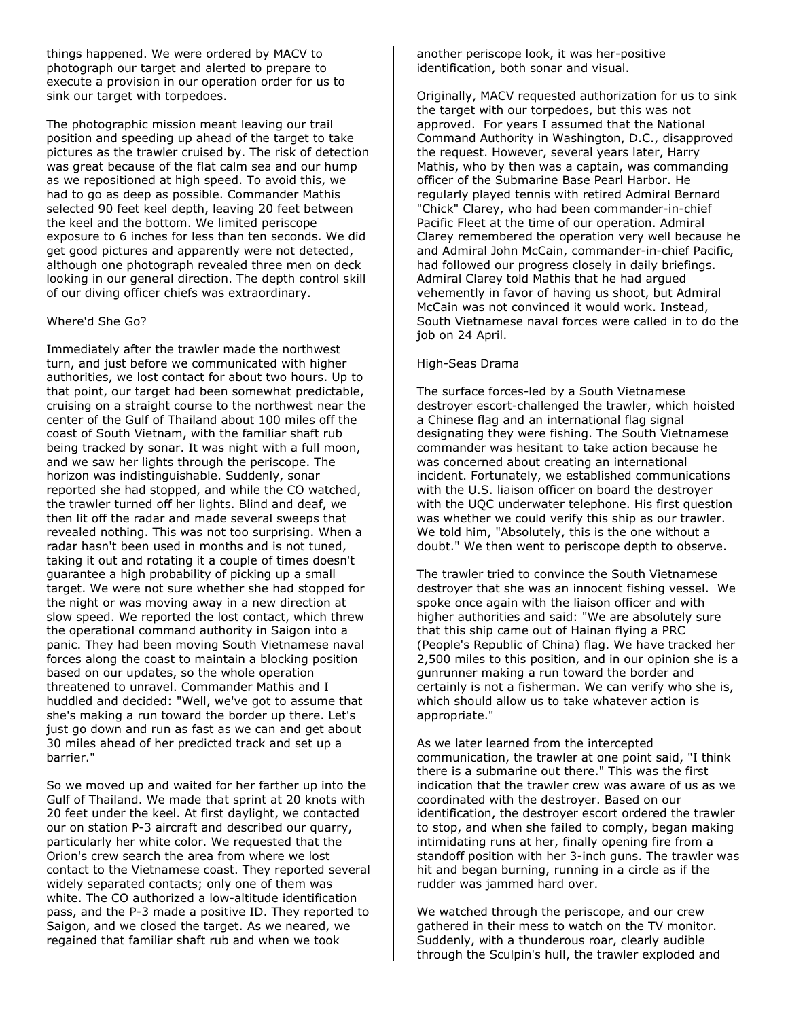things happened. We were ordered by MACV to photograph our target and alerted to prepare to execute a provision in our operation order for us to sink our target with torpedoes.

The photographic mission meant leaving our trail position and speeding up ahead of the target to take pictures as the trawler cruised by. The risk of detection was great because of the flat calm sea and our hump as we repositioned at high speed. To avoid this, we had to go as deep as possible. Commander Mathis selected 90 feet keel depth, leaving 20 feet between the keel and the bottom. We limited periscope exposure to 6 inches for less than ten seconds. We did get good pictures and apparently were not detected, although one photograph revealed three men on deck looking in our general direction. The depth control skill of our diving officer chiefs was extraordinary.

### Where'd She Go?

Immediately after the trawler made the northwest turn, and just before we communicated with higher authorities, we lost contact for about two hours. Up to that point, our target had been somewhat predictable, cruising on a straight course to the northwest near the center of the Gulf of Thailand about 100 miles off the coast of South Vietnam, with the familiar shaft rub being tracked by sonar. It was night with a full moon, and we saw her lights through the periscope. The horizon was indistinguishable. Suddenly, sonar reported she had stopped, and while the CO watched, the trawler turned off her lights. Blind and deaf, we then lit off the radar and made several sweeps that revealed nothing. This was not too surprising. When a radar hasn't been used in months and is not tuned, taking it out and rotating it a couple of times doesn't guarantee a high probability of picking up a small target. We were not sure whether she had stopped for the night or was moving away in a new direction at slow speed. We reported the lost contact, which threw the operational command authority in Saigon into a panic. They had been moving South Vietnamese naval forces along the coast to maintain a blocking position based on our updates, so the whole operation threatened to unravel. Commander Mathis and I huddled and decided: "Well, we've got to assume that she's making a run toward the border up there. Let's just go down and run as fast as we can and get about 30 miles ahead of her predicted track and set up a barrier."

So we moved up and waited for her farther up into the Gulf of Thailand. We made that sprint at 20 knots with 20 feet under the keel. At first daylight, we contacted our on station P-3 aircraft and described our quarry, particularly her white color. We requested that the Orion's crew search the area from where we lost contact to the Vietnamese coast. They reported several widely separated contacts; only one of them was white. The CO authorized a low-altitude identification pass, and the P-3 made a positive ID. They reported to Saigon, and we closed the target. As we neared, we regained that familiar shaft rub and when we took

another periscope look, it was her-positive identification, both sonar and visual.

Originally, MACV requested authorization for us to sink the target with our torpedoes, but this was not approved. For years I assumed that the National Command Authority in Washington, D.C., disapproved the request. However, several years later, Harry Mathis, who by then was a captain, was commanding officer of the Submarine Base Pearl Harbor. He regularly played tennis with retired Admiral Bernard "Chick" Clarey, who had been commander-in-chief Pacific Fleet at the time of our operation. Admiral Clarey remembered the operation very well because he and Admiral John McCain, commander-in-chief Pacific, had followed our progress closely in daily briefings. Admiral Clarey told Mathis that he had argued vehemently in favor of having us shoot, but Admiral McCain was not convinced it would work. Instead, South Vietnamese naval forces were called in to do the job on 24 April.

#### High-Seas Drama

The surface forces-led by a South Vietnamese destroyer escort-challenged the trawler, which hoisted a Chinese flag and an international flag signal designating they were fishing. The South Vietnamese commander was hesitant to take action because he was concerned about creating an international incident. Fortunately, we established communications with the U.S. liaison officer on board the destroyer with the UQC underwater telephone. His first question was whether we could verify this ship as our trawler. We told him, "Absolutely, this is the one without a doubt." We then went to periscope depth to observe.

The trawler tried to convince the South Vietnamese destroyer that she was an innocent fishing vessel. We spoke once again with the liaison officer and with higher authorities and said: "We are absolutely sure that this ship came out of Hainan flying a PRC (People's Republic of China) flag. We have tracked her 2,500 miles to this position, and in our opinion she is a gunrunner making a run toward the border and certainly is not a fisherman. We can verify who she is, which should allow us to take whatever action is appropriate."

As we later learned from the intercepted communication, the trawler at one point said, "I think there is a submarine out there." This was the first indication that the trawler crew was aware of us as we coordinated with the destroyer. Based on our identification, the destroyer escort ordered the trawler to stop, and when she failed to comply, began making intimidating runs at her, finally opening fire from a standoff position with her 3-inch guns. The trawler was hit and began burning, running in a circle as if the rudder was jammed hard over.

We watched through the periscope, and our crew gathered in their mess to watch on the TV monitor. Suddenly, with a thunderous roar, clearly audible through the Sculpin's hull, the trawler exploded and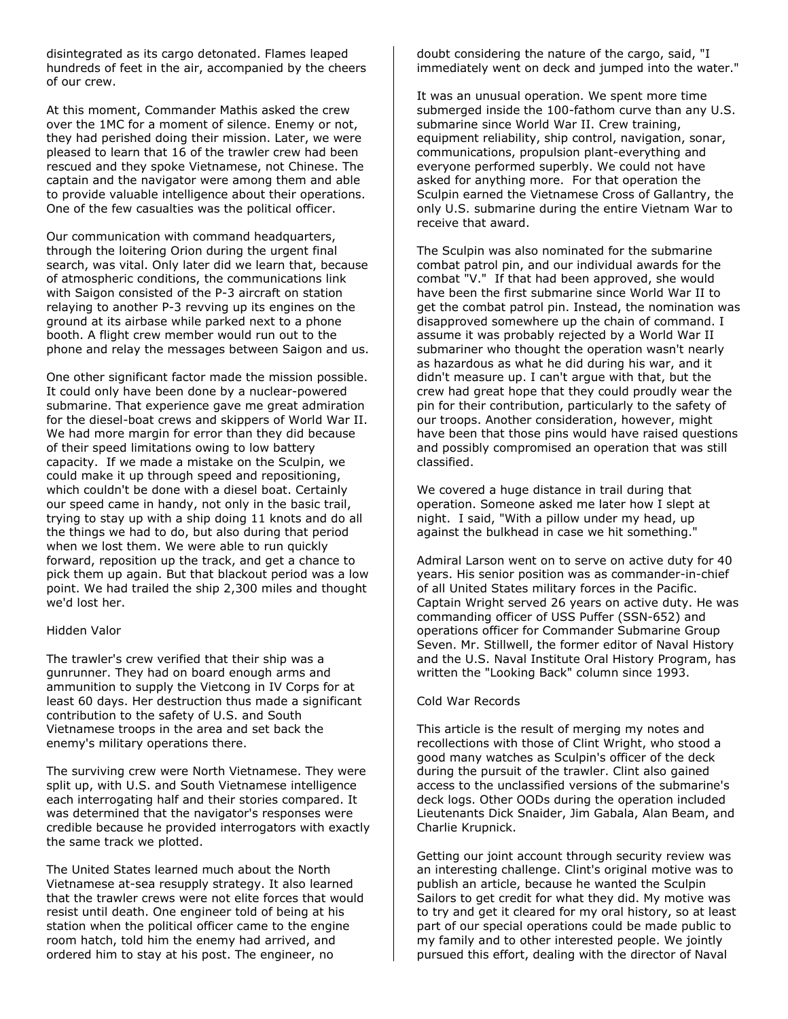disintegrated as its cargo detonated. Flames leaped hundreds of feet in the air, accompanied by the cheers of our crew.

At this moment, Commander Mathis asked the crew over the 1MC for a moment of silence. Enemy or not, they had perished doing their mission. Later, we were pleased to learn that 16 of the trawler crew had been rescued and they spoke Vietnamese, not Chinese. The captain and the navigator were among them and able to provide valuable intelligence about their operations. One of the few casualties was the political officer.

Our communication with command headquarters, through the loitering Orion during the urgent final search, was vital. Only later did we learn that, because of atmospheric conditions, the communications link with Saigon consisted of the P-3 aircraft on station relaying to another P-3 revving up its engines on the ground at its airbase while parked next to a phone booth. A flight crew member would run out to the phone and relay the messages between Saigon and us.

One other significant factor made the mission possible. It could only have been done by a nuclear-powered submarine. That experience gave me great admiration for the diesel-boat crews and skippers of World War II. We had more margin for error than they did because of their speed limitations owing to low battery capacity. If we made a mistake on the Sculpin, we could make it up through speed and repositioning, which couldn't be done with a diesel boat. Certainly our speed came in handy, not only in the basic trail, trying to stay up with a ship doing 11 knots and do all the things we had to do, but also during that period when we lost them. We were able to run quickly forward, reposition up the track, and get a chance to pick them up again. But that blackout period was a low point. We had trailed the ship 2,300 miles and thought we'd lost her.

### Hidden Valor

The trawler's crew verified that their ship was a gunrunner. They had on board enough arms and ammunition to supply the Vietcong in IV Corps for at least 60 days. Her destruction thus made a significant contribution to the safety of U.S. and South Vietnamese troops in the area and set back the enemy's military operations there.

The surviving crew were North Vietnamese. They were split up, with U.S. and South Vietnamese intelligence each interrogating half and their stories compared. It was determined that the navigator's responses were credible because he provided interrogators with exactly the same track we plotted.

The United States learned much about the North Vietnamese at-sea resupply strategy. It also learned that the trawler crews were not elite forces that would resist until death. One engineer told of being at his station when the political officer came to the engine room hatch, told him the enemy had arrived, and ordered him to stay at his post. The engineer, no

doubt considering the nature of the cargo, said, "I immediately went on deck and jumped into the water."

It was an unusual operation. We spent more time submerged inside the 100-fathom curve than any U.S. submarine since World War II. Crew training, equipment reliability, ship control, navigation, sonar, communications, propulsion plant-everything and everyone performed superbly. We could not have asked for anything more. For that operation the Sculpin earned the Vietnamese Cross of Gallantry, the only U.S. submarine during the entire Vietnam War to receive that award.

The Sculpin was also nominated for the submarine combat patrol pin, and our individual awards for the combat "V." If that had been approved, she would have been the first submarine since World War II to get the combat patrol pin. Instead, the nomination was disapproved somewhere up the chain of command. I assume it was probably rejected by a World War II submariner who thought the operation wasn't nearly as hazardous as what he did during his war, and it didn't measure up. I can't argue with that, but the crew had great hope that they could proudly wear the pin for their contribution, particularly to the safety of our troops. Another consideration, however, might have been that those pins would have raised questions and possibly compromised an operation that was still classified.

We covered a huge distance in trail during that operation. Someone asked me later how I slept at night. I said, "With a pillow under my head, up against the bulkhead in case we hit something."

Admiral Larson went on to serve on active duty for 40 years. His senior position was as commander-in-chief of all United States military forces in the Pacific. Captain Wright served 26 years on active duty. He was commanding officer of USS Puffer (SSN-652) and operations officer for Commander Submarine Group Seven. Mr. Stillwell, the former editor of Naval History and the U.S. Naval Institute Oral History Program, has written the "Looking Back" column since 1993.

#### Cold War Records

This article is the result of merging my notes and recollections with those of Clint Wright, who stood a good many watches as Sculpin's officer of the deck during the pursuit of the trawler. Clint also gained access to the unclassified versions of the submarine's deck logs. Other OODs during the operation included Lieutenants Dick Snaider, Jim Gabala, Alan Beam, and Charlie Krupnick.

Getting our joint account through security review was an interesting challenge. Clint's original motive was to publish an article, because he wanted the Sculpin Sailors to get credit for what they did. My motive was to try and get it cleared for my oral history, so at least part of our special operations could be made public to my family and to other interested people. We jointly pursued this effort, dealing with the director of Naval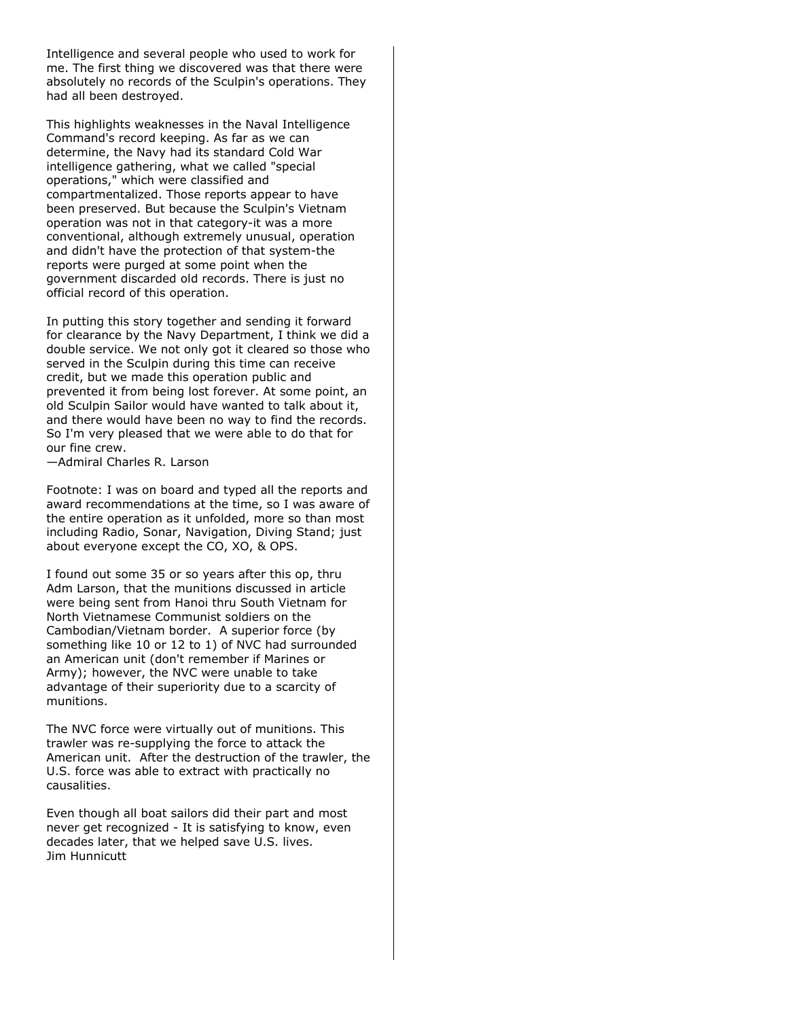Intelligence and several people who used to work for me. The first thing we discovered was that there were absolutely no records of the Sculpin's operations. They had all been destroyed.

This highlights weaknesses in the Naval Intelligence Command's record keeping. As far as we can determine, the Navy had its standard Cold War intelligence gathering, what we called "special operations," which were classified and compartmentalized. Those reports appear to have been preserved. But because the Sculpin's Vietnam operation was not in that category-it was a more conventional, although extremely unusual, operation and didn't have the protection of that system-the reports were purged at some point when the government discarded old records. There is just no official record of this operation.

In putting this story together and sending it forward for clearance by the Navy Department, I think we did a double service. We not only got it cleared so those who served in the Sculpin during this time can receive credit, but we made this operation public and prevented it from being lost forever. At some point, an old Sculpin Sailor would have wanted to talk about it, and there would have been no way to find the records. So I'm very pleased that we were able to do that for our fine crew.

—Admiral Charles R. Larson

Footnote: I was on board and typed all the reports and award recommendations at the time, so I was aware of the entire operation as it unfolded, more so than most including Radio, Sonar, Navigation, Diving Stand; just about everyone except the CO, XO, & OPS.

I found out some 35 or so years after this op, thru Adm Larson, that the munitions discussed in article were being sent from Hanoi thru South Vietnam for North Vietnamese Communist soldiers on the Cambodian/Vietnam border. A superior force (by something like 10 or 12 to 1) of NVC had surrounded an American unit (don't remember if Marines or Army); however, the NVC were unable to take advantage of their superiority due to a scarcity of munitions.

The NVC force were virtually out of munitions. This trawler was re-supplying the force to attack the American unit. After the destruction of the trawler, the U.S. force was able to extract with practically no causalities.

Even though all boat sailors did their part and most never get recognized - It is satisfying to know, even decades later, that we helped save U.S. lives. Jim Hunnicutt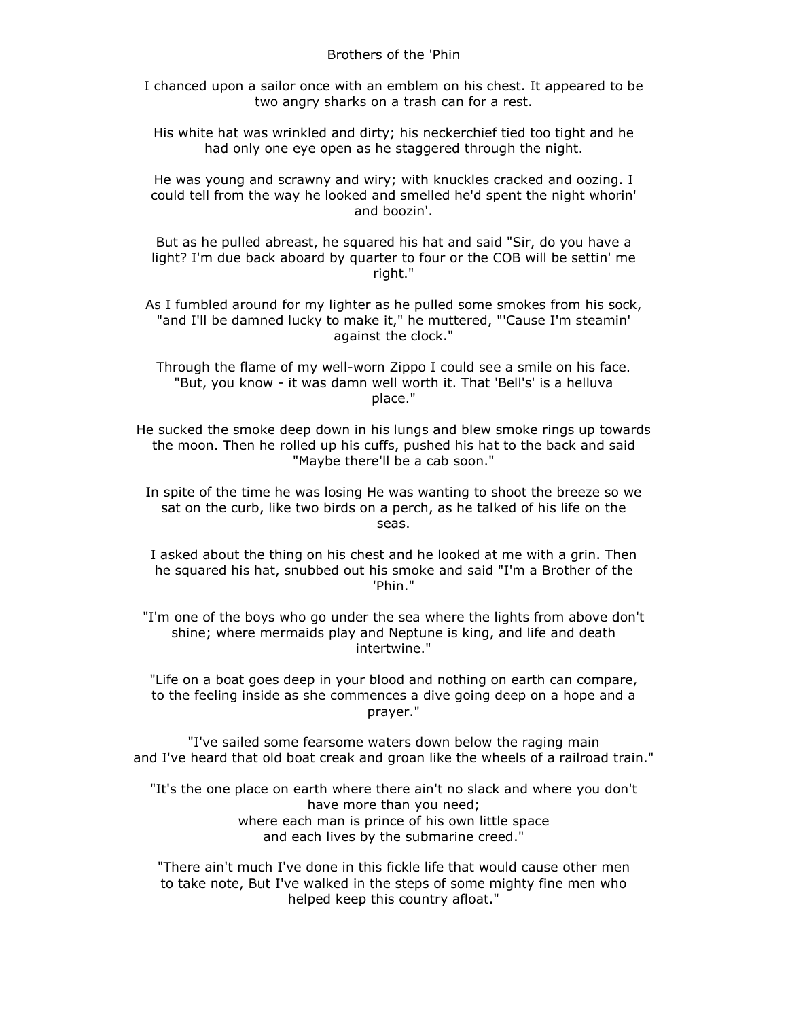I chanced upon a sailor once with an emblem on his chest. It appeared to be two angry sharks on a trash can for a rest.

His white hat was wrinkled and dirty; his neckerchief tied too tight and he had only one eye open as he staggered through the night.

He was young and scrawny and wiry; with knuckles cracked and oozing. I could tell from the way he looked and smelled he'd spent the night whorin' and boozin'.

But as he pulled abreast, he squared his hat and said "Sir, do you have a light? I'm due back aboard by quarter to four or the COB will be settin' me right."

As I fumbled around for my lighter as he pulled some smokes from his sock, "and I'll be damned lucky to make it," he muttered, "'Cause I'm steamin' against the clock."

Through the flame of my well-worn Zippo I could see a smile on his face. "But, you know - it was damn well worth it. That 'Bell's' is a helluva place."

He sucked the smoke deep down in his lungs and blew smoke rings up towards the moon. Then he rolled up his cuffs, pushed his hat to the back and said "Maybe there'll be a cab soon."

In spite of the time he was losing He was wanting to shoot the breeze so we sat on the curb, like two birds on a perch, as he talked of his life on the seas.

I asked about the thing on his chest and he looked at me with a grin. Then he squared his hat, snubbed out his smoke and said "I'm a Brother of the 'Phin."

"I'm one of the boys who go under the sea where the lights from above don't shine; where mermaids play and Neptune is king, and life and death intertwine."

"Life on a boat goes deep in your blood and nothing on earth can compare, to the feeling inside as she commences a dive going deep on a hope and a prayer."

"I've sailed some fearsome waters down below the raging main and I've heard that old boat creak and groan like the wheels of a railroad train."

"It's the one place on earth where there ain't no slack and where you don't have more than you need; where each man is prince of his own little space and each lives by the submarine creed."

"There ain't much I've done in this fickle life that would cause other men to take note, But I've walked in the steps of some mighty fine men who helped keep this country afloat."